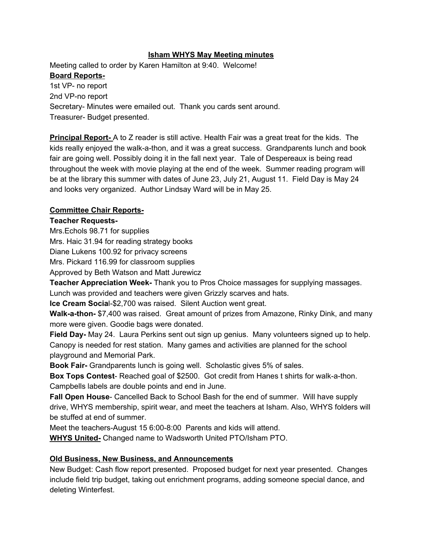#### **Isham WHYS May Meeting minutes**

Meeting called to order by Karen Hamilton at 9:40. Welcome!

## **Board Reports-**

1st VP- no report 2nd VP-no report Secretary- Minutes were emailed out. Thank you cards sent around. Treasurer- Budget presented.

**Principal Report** A to Z reader is still active. Health Fair was a great treat for the kids. The kids really enjoyed the walk-a-thon, and it was a great success. Grandparents lunch and book fair are going well. Possibly doing it in the fall next year. Tale of Despereaux is being read throughout the week with movie playing at the end of the week. Summer reading program will be at the library this summer with dates of June 23, July 21, August 11. Field Day is May 24 and looks very organized. Author Lindsay Ward will be in May 25.

### **Committee Chair Reports-**

### **Teacher Requests-**

Mrs.Echols 98.71 for supplies

Mrs. Haic 31.94 for reading strategy books

Diane Lukens 100.92 for privacy screens

Mrs. Pickard 116.99 for classroom supplies

Approved by Beth Watson and Matt Jurewicz

**Teacher Appreciation Week-** Thank you to Pros Choice massages for supplying massages. Lunch was provided and teachers were given Grizzly scarves and hats.

**Ice Cream Social-\$2,700 was raised. Silent Auction went great.** 

**Walk-a-thon-** \$7,400 was raised. Great amount of prizes from Amazone, Rinky Dink, and many more were given. Goodie bags were donated.

**Field Day-** May 24. Laura Perkins sent out sign up genius. Many volunteers signed up to help. Canopy is needed for rest station. Many games and activities are planned for the school playground and Memorial Park.

**Book Fair** Grandparents lunch is going well. Scholastic gives 5% of sales.

**Box Tops Contest-** Reached goal of \$2500. Got credit from Hanes t shirts for walk-a-thon. Campbells labels are double points and end in June.

**Fall Open House** Cancelled Back to School Bash for the end of summer. Will have supply drive, WHYS membership, spirit wear, and meet the teachers at Isham. Also, WHYS folders will be stuffed at end of summer.

Meet the teachers-August 15 6:00-8:00 Parents and kids will attend.

**WHYS United-** Changed name to Wadsworth United PTO/Isham PTO.

# **Old Business, New Business, and Announcements**

New Budget: Cash flow report presented. Proposed budget for next year presented. Changes include field trip budget, taking out enrichment programs, adding someone special dance, and deleting Winterfest.